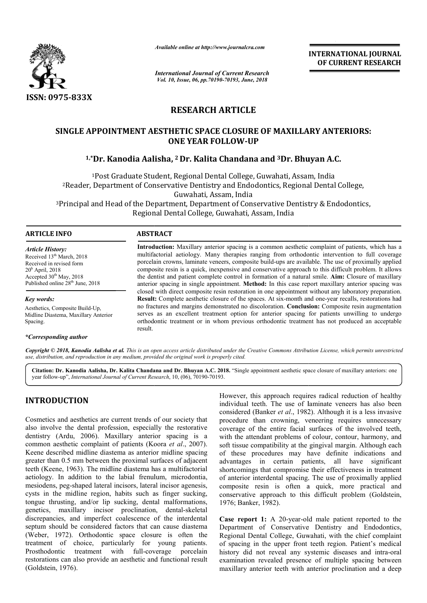

*Available online at http://www.journalcra.com*

*International Journal of Current Research Vol. 10, Issue, 06, pp.70190-70193, June, 2018*

**INTERNATIONAL JOURNAL OF CURRENT RESEARCH**

# **RESEARCH ARTICLE**

# **SINGLE APPOINTMENT AESTHETIC SPACE CLOSURE OF MAXILLARY ANTERIORS:<br>ONE YEAR FOLLOW-UP<br><sup>1,\*</sup>Dr. Kanodia Aalisha, <sup>2</sup> Dr. Kalita Chandana and <sup>3</sup>Dr. Bhuyan A.C. ONE YEAR FOLLOW-UP**

# **1,\*Dr. Kanodia Aalisha, <sup>2</sup> Dr. Kalita Chandana and 3Dr. Bhuyan A.C.**

<sup>1</sup>Post Graduate Student, Regional Dental College, Guwahati, Assam, India <sup>2</sup> Reader, Department of Conservative Dentistry and Endodontics, Regional Dental College, Guwahati, Assam, India

<sup>3</sup>Principal and Head of the Department, Department of Conservative Dentistry & Endodontics, Regional Dental College, Guwahati, Assam, India

### **ARTICLE INFO ABSTRACT**

*Article History:* Received 13<sup>th</sup> March, 2018 Received in revised form 20h April, 2018 Accepted 30<sup>th</sup> May, 2018 Published online 28<sup>th</sup> June, 2018

*Key words:* Aesthetics, Composite Build-Up, Midline Diastema, Maxillary Anterior Spacing.

#### *\*Corresponding author*

Introduction: Maxillary anterior spacing is a common aesthetic complaint of patients, which has a multifactorial aetiology. Many therapies ranging from orthodontic intervention to full coverage porcelain crowns, laminate veneers, composite build-ups are available. The use of proximally applied composite resin is a quick, inexpensive and conservative approach to this difficult problem. It allows the dentist and patient complete control in formation of a natural smile. **Aim:** Closure of maxillary anterior spacing in single appointment. **Method:** In this case report maxillary anterior spacing was closed with direct composite resin restoration in one appointment without any laboratory preparation. anterior spacing in single appointment. **Method:** In this case report maxillary anterior spacing was closed with direct composite resin restoration in one appointment without any laboratory preparation. **Result:** Complete no fractures and margins demonstrated no discoloration. **Conclusion: sion:** Composite resin augmentation serves as an excellent treatment option for anterior spacing for patients unwilling to undergo serves as an excellent treatment option for anterior spacing for patients unwilling to undergo orthodontic treatment or in whom previous orthodontic treatment has not produced an acceptable result. multifactorial aetiology. Many therapies ranging from orthodontic intervention to full coverage<br>porcelain crowns, laminate veneers, composite build-ups are available. The use of proximally applied<br>composite resin is a quic

Copyright © 2018, Kanodia Aalisha et al. This is an open access article distributed under the Creative Commons Attribution License, which permits unrestrictea *use, distribution, and reproduction in any medium, provided the original work is properly cited.*

Citation: Dr. Kanodia Aalisha, Dr. Kalita Chandana and Dr. Bhuyan A.C. 2018. "Single appointment aesthetic space closure of maxillary anteriors: one year follow-up", *International Journal of Current Research* , 10, (06), 70190-70193.

## **INTRODUCTION**

Cosmetics and aesthetics are current trends of our society that also involve the dental profession, especially the restorative dentistry (Ardu, 2006). Maxillary anterior spacing is a common aesthetic complaint of patients (Koora *et al.*, 2007). Keene described midline diastema as anterior midline spacing greater than 0.5 mm between the proximal surfaces of adjacent teeth (Keene, 1963). The midline diastema has a multifactorial aetiology. In addition to the labial frenulum, microdontia, mesiodens, peg-shaped lateral incisors, lateral incisor agenesis, cysts in the midline region, habits such as finger sucking, tongue thrusting, and/or lip sucking, dental malformations, genetics, maxillary incisor proclination, dental-skeletal discrepancies, and imperfect coalescence of the interdental septum should be considered factors that can cause diastema (Weber, 1972). Orthodontic space closure is often the treatment of choice, particularly for young patients. Prosthodontic treatment with full-coverage restorations can also provide an aesthetic and functional result (Goldstein, 1976). 63). The midline diastema has a multifactorial<br>ddition to the labial frenulum, microdontia,<br>shaped lateral incisors, lateral incisor agenesis,<br>idline region, habits such as finger sucking,<br>g, and/or lip sucking, dental mal

However, this approach requires radical reduction of healthy<br>
individual teeth. The use of laminate veneers has also been<br>
considered (Banker *et al.*, 1982). Although it is a less invasive<br>
cially the restorative<br>
coverag individual teeth. The use of laminate veneers has also been considered (Banker *et al*., 1982 procedure than crowning, veneering requires unnecessary coverage of the entire facial surfaces of the involved teeth, coverage of the entire facial surfaces of the involved teeth, with the attendant problems of colour, contour, harmony, and soft tissue compatibility at the gingival margin. Although each of these procedures may have definite indications and advantages in certain patients, all have significant shortcomings that compromise their effectiveness in treatment of anterior interdental spacing. The use of proximally applied composite resin is often a quick, more practical and conservative approach to this difficult problem 1976; Banker, 1982). this approach requires radical reduction of healthy teeth. The use of laminate veneers has also been (Banker *et al.*, 1982). Although it is a less invasive soft tissue compatibility at the gingival margin. Although each<br>of these procedures may have definite indications and<br>advantages in certain patients, all have significant<br>shortcomings that compromise their effectiveness in INTERNATIONAL JOURNAL<br>
OF CURRENT RESEARCH<br>
OF CURRENT RESEARCH<br>
MILLARY ANTERIORS:<br>
Bhuyan A.C.<br>
Assam, India<br>
gional Dental College,<br>
entistry & Endodontics,<br>
a<br>
sthetic complaint of patients, which has a<br>
sthetic compla

**Case report 1:** A 20-year-old male patient reported to the Department of Conservative Dentistry and Endodontics, Regional Dental College, Guwahati, with the chief complaint of spacing in the upper front teeth region. Patient's medical **Case report 1:** A 20-year-old male patient reported to the Department of Conservative Dentistry and Endodontics, Regional Dental College, Guwahati, with the chief complaint of spacing in the upper front teeth region. Pati examination revealed presence of multiple spacing between maxillary anterior teeth with anterior proclination and a deep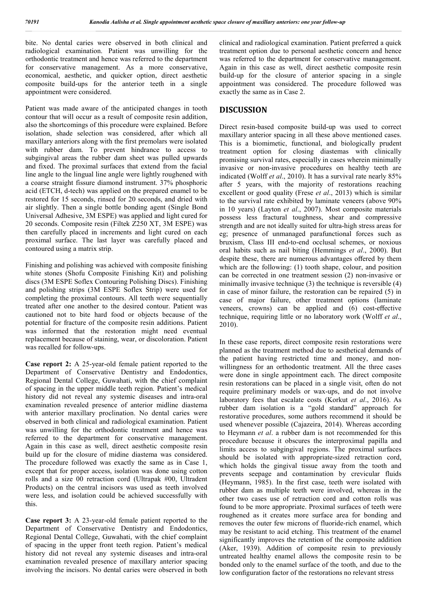bite. No dental caries were observed in both clinical and radiological examination. Patient was unwilling for the orthodontic treatment and hence was referred to the department for conservative management. As a more conservative, economical, aesthetic, and quicker option, direct aesthetic composite build-ups for the anterior teeth in a single appointment were considered.

Patient was made aware of the anticipated changes in tooth contour that will occur as a result of composite resin addition, also the shortcomings of this procedure were explained. Before isolation, shade selection was considered, after which all maxillary anteriors along with the first premolars were isolated with rubber dam. To prevent hindrance to access to subgingival areas the rubber dam sheet was pulled upwards and fixed. The proximal surfaces that extend from the facial line angle to the lingual line angle were lightly roughened with a coarse straight fissure diamond instrument. 37% phosphoric acid (ETCH, d-tech) was applied on the prepared enamel to be restored for 15 seconds, rinsed for 20 seconds, and dried with air slightly. Then a single bottle bonding agent (Single Bond Universal Adhesive, 3M ESPE) was applied and light cured for 20 seconds. Composite resin (Filtek Z250 XT, 3M ESPE) was then carefully placed in increments and light cured on each proximal surface. The last layer was carefully placed and contoured using a matrix strip.

Finishing and polishing was achieved with composite finishing white stones (Shofu Composite Finishing Kit) and polishing discs (3M ESPE Soflex Contouring Polishing Discs). Finishing and polishing strips (3M ESPE Soflex Strip) were used for completing the proximal contours. All teeth were sequentially treated after one another to the desired contour. Patient was cautioned not to bite hard food or objects because of the potential for fracture of the composite resin additions. Patient was informed that the restoration might need eventual replacement because of staining, wear, or discoloration. Patient was recalled for follow-ups.

**Case report 2:** A 25-year-old female patient reported to the Department of Conservative Dentistry and Endodontics, Regional Dental College, Guwahati, with the chief complaint of spacing in the upper middle teeth region. Patient's medical history did not reveal any systemic diseases and intra-oral examination revealed presence of anterior midline diastema with anterior maxillary proclination. No dental caries were observed in both clinical and radiological examination. Patient was unwilling for the orthodontic treatment and hence was referred to the department for conservative management. Again in this case as well, direct aesthetic composite resin build up for the closure of midine diastema was considered. The procedure followed was exactly the same as in Case 1, except that for proper access, isolation was done using cotton rolls and a size 00 retraction cord (Ultrapak #00, Ultradent Products) on the central incisors was used as teeth involved were less, and isolation could be achieved successfully with this.

**Case report 3:** A 23-year-old female patient reported to the Department of Conservative Dentistry and Endodontics, Regional Dental College, Guwahati, with the chief complaint of spacing in the upper front teeth region. Patient's medical history did not reveal any systemic diseases and intra-oral examination revealed presence of maxillary anterior spacing involving the incisors. No dental caries were observed in both

clinical and radiological examination. Patient preferred a quick treatment option due to personal aesthetic concern and hence was referred to the department for conservative management. Again in this case as well, direct aesthetic composite resin build-up for the closure of anterior spacing in a single appointment was considered. The procedure followed was exactly the same as in Case 2.

## **DISCUSSION**

Direct resin-based composite build-up was used to correct maxillary anterior spacing in all these above mentioned cases. This is a biomimetic, functional, and biologically prudent treatment option for closing diastemas with clinically promising survival rates, especially in cases wherein minimally invasive or non-invasive procedures on healthy teeth are indicated (Wolff *et al*., 2010). It has a survival rate nearly 85% after 5 years, with the majority of restorations reaching excellent or good quality (Frese *et al*., 2013) which is similar to the survival rate exhibited by laminate veneers (above 90% in 10 years) (Layton *et al*., 2007). Most composite materials possess less fractural toughness, shear and compressive strength and are not ideally suited for ultra-high stress areas for eg; presence of unmanaged parafunctional forces such as bruxism, Class III end-to-end occlusal schemes, or noxious oral habits such as nail biting (Hemmings *et al*., 2000). But despite these, there are numerous advantages offered by them which are the following: (1) tooth shape, colour, and position can be corrected in one treatment session (2) non-invasive or minimally invasive technique (3) the technique is reversible (4) in case of minor failure, the restoration can be repaired (5) in case of major failure, other treatment options (laminate veneers, crowns) can be applied and (6) cost-effective technique, requiring little or no laboratory work (Wolff *et al*., 2010).

In these case reports, direct composite resin restorations were planned as the treatment method due to aesthetical demands of the patient having restricted time and money, and nonwillingness for an orthodontic treatment. All the three cases were done in single appointment each. The direct composite resin restorations can be placed in a single visit, often do not require preliminary models or wax-ups, and do not involve laboratory fees that escalate costs (Korkut *et al*., 2016). As rubber dam isolation is a "gold standard" approach for restorative procedures, some authors recommend it should be used whenever possible (Cajazeira, 2014). Whereas according to Heymann *et al*. a rubber dam is not recommended for this procedure because it obscures the interproximal papilla and limits access to subgingival regions. The proximal surfaces should be isolated with appropriate-sized retraction cord, which holds the gingival tissue away from the tooth and prevents seepage and contamination by crevicular fluids (Heymann, 1985). In the first case, teeth were isolated with rubber dam as multiple teeth were involved, whereas in the other two cases use of retraction cord and cotton rolls was found to be more appropriate. Proximal surfaces of teeth were roughened as it creates more surface area for bonding and removes the outer few microns of fluoride-rich enamel, which may be resistant to acid etching. This treatment of the enamel significantly improves the retention of the composite addition (Aker, 1939). Addition of composite resin to previously untreated healthy enamel allows the composite resin to be bonded only to the enamel surface of the tooth, and due to the low configuration factor of the restorations no relevant stress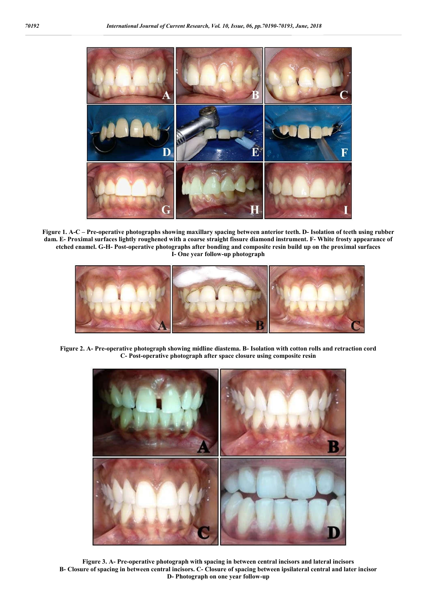

**Figure 1. A-C – Pre-operative photographs showing maxillary spacing between anterior teeth. D- Isolation of teeth using rubber dam. E- Proximal surfaces lightly roughened with a coarse straight fissure diamond instrument. F- White frosty appearance of etched enamel. G-H- Post-operative photographs after bonding and composite resin build up on the proximal surfaces I- One year follow-up photograph**



**Figure 2. A- Pre-operative photograph showing midline diastema. B- Isolation with cotton rolls and retraction cord C- Post-operative photograph after space closure using composite resin**



**Figure 3. A- Pre-operative photograph with spacing in between central incisors and lateral incisors B- Closure of spacing in between central incisors. C- Closure of spacing between ipsilateral central and later incisor D- Photograph on one year follow-up**